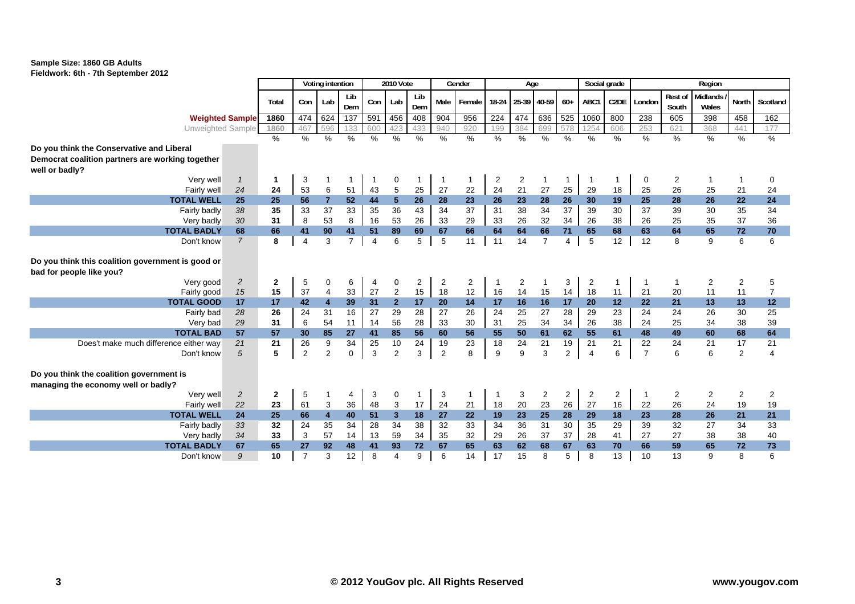| <b>HOLOWORK: 001-701 Ocplember 2012</b>           |                |               |                |                         |                      |                |                  |                |                |                |       |             |                |                |                |      |                |                |          |                |                |
|---------------------------------------------------|----------------|---------------|----------------|-------------------------|----------------------|----------------|------------------|----------------|----------------|----------------|-------|-------------|----------------|----------------|----------------|------|----------------|----------------|----------|----------------|----------------|
|                                                   |                |               |                | Voting intention        |                      |                | <b>2010 Vote</b> |                |                | Gender         |       | Age         |                |                | Social grade   |      |                |                | Region   |                |                |
|                                                   |                |               |                |                         | Lib                  |                |                  | Lib            |                |                |       |             |                |                |                |      |                | <b>Rest of</b> | Midlands |                |                |
|                                                   |                | Total         | Con            | Lab                     | Dem                  | Con            | Lab              | Dem            | Male           | Female         | 18-24 | 25-39 40-59 |                | $60+$          | ABC1           | C2DE | London         | South          | Wales    | North          | Scotland       |
| <b>Weighted Sample</b>                            |                | 1860          | 474            | 624                     | 137                  | 591            | 456              | 408            | 904            | 956            | 224   | 474         | 636            | 525            | 1060           | 800  | 238            | 605            | 398      | 458            | 162            |
| Unweighted Sample                                 |                | 1860          | 467            | 596                     | 133                  | 600            | 423              | 433            | 940            | 920            | 199   | 384         | 699            | 578            | 1254           | 606  | 253            | 621            | 368      | 441            | 177            |
|                                                   |                | $\frac{0}{0}$ | $\%$           | $\%$                    | $\%$                 | $\%$           | $\%$             | %              | $\frac{0}{0}$  | $\%$           | %     | $\%$        | $\%$           | %              | $\%$           | $\%$ | $\%$           | %              | %        | %              | %              |
| Do you think the Conservative and Liberal         |                |               |                |                         |                      |                |                  |                |                |                |       |             |                |                |                |      |                |                |          |                |                |
| Democrat coalition partners are working together  |                |               |                |                         |                      |                |                  |                |                |                |       |             |                |                |                |      |                |                |          |                |                |
| well or badly?                                    |                |               |                |                         |                      |                |                  |                |                |                |       |             |                |                |                |      |                |                |          |                |                |
| Verv well                                         | -1             | 1             | 3              |                         | 1                    |                | 0                | 1              | -1             | 1              | 2     | 2           |                |                |                |      | 0              | 2              |          |                | 0              |
| Fairly well                                       | 24             | 24            | 53             | 6                       | 51                   | 43             | 5                | 25             | 27             | 22             | 24    | 21          | 27             | 25             | 29             | 18   | 25             | 26             | 25       | 21             | 24             |
| <b>TOTAL WELL</b>                                 | 25             | 25            | 56             | $\overline{7}$          | 52                   | 44             | 5 <sup>5</sup>   | 26             | 28             | 23             | 26    | 23          | 28             | 26             | 30             | 19   | 25             | 28             | 26       | 22             | 24             |
| Fairly badly                                      | 38             | 35            | 33             | 37                      | 33                   | 35             | 36               | 43             | 34             | 37             | 31    | 38          | 34             | 37             | 39             | 30   | 37             | 39             | 30       | 35             | 34             |
| Very badly<br><b>TOTAL BADLY</b>                  | 30             | 31            | 8              | 53                      | 8                    | 16             | 53               | 26             | 33<br>67       | 29<br>66       | 33    | 26          | 32<br>66       | 34<br>71       | 26<br>65       | 38   | 26<br>63       | 25<br>64       | 35<br>65 | 37             | 36             |
|                                                   | 68             | 66<br>8       | 41             | 90<br>3                 | 41<br>$\overline{7}$ | 51             | 89<br>6          | 69<br>5        |                |                | 64    | 64<br>14    | $\overline{7}$ |                |                | 68   |                | 8              | 9        | 72<br>6        | 70<br>6        |
| Don't know                                        | $\overline{7}$ |               | $\overline{4}$ |                         |                      | $\overline{4}$ |                  |                | 5              | 11             | 11    |             |                | 4              | 5              | 12   | 12             |                |          |                |                |
| Do you think this coalition government is good or |                |               |                |                         |                      |                |                  |                |                |                |       |             |                |                |                |      |                |                |          |                |                |
| bad for people like you?                          |                |               |                |                         |                      |                |                  |                |                |                |       |             |                |                |                |      |                |                |          |                |                |
| Very good                                         | $\overline{c}$ | $\mathbf 2$   | 5              | $\mathbf 0$             | 6                    | 4              | 0                | $\overline{c}$ | $\overline{2}$ | $\overline{c}$ |       | 2           |                | 3              | $\overline{2}$ |      |                | -1             | 2        | $\overline{2}$ | 5              |
| Fairly good                                       | 15             | 15            | 37             | $\overline{4}$          | 33                   | 27             | $\overline{2}$   | 15             | 18             | 12             | 16    | 14          | 15             | 14             | 18             | 11   | 21             | 20             | 11       | 11             |                |
| <b>TOTAL GOOD</b>                                 | 17             | 17            | 42             | $\overline{\mathbf{4}}$ | 39                   | 31             | 2 <sup>1</sup>   | 17             | 20             | 14             | 17    | 16          | 16             | 17             | 20             | 12   | 22             | 21             | 13       | 13             | 12             |
| Fairly bad                                        | 28             | 26            | 24             | 31                      | 16                   | 27             | 29               | 28             | 27             | 26             | 24    | 25          | 27             | 28             | 29             | 23   | 24             | 24             | 26       | 30             | 25             |
| Very bad                                          | 29             | 31            | 6              | 54                      | 11                   | 14             | 56               | 28             | 33             | 30             | 31    | 25          | 34             | 34             | 26             | 38   | 24             | 25             | 34       | 38             | 39             |
| <b>TOTAL BAD</b>                                  | 57             | 57            | 30             | 85                      | 27                   | 41             | 85               | 56             | 60             | 56             | 55    | 50          | 61             | 62             | 55             | 61   | 48             | 49             | 60       | 68             | 64             |
| Does't make much difference either way            | 21             | 21            | 26             | $\boldsymbol{9}$        | 34                   | 25             | 10               | 24             | 19             | 23             | 18    | 24          | 21             | 19             | 21             | 21   | 22             | 24             | 21       | 17             | 21             |
| Don't know                                        | 5              | 5             | $\overline{2}$ | 2                       | $\mathbf 0$          | 3              | $\overline{2}$   | 3              | $\overline{2}$ | 8              | 9     | 9           | 3              | $\mathbf{2}$   | $\overline{4}$ | 6    | $\overline{7}$ | 6              | 6        | $\overline{2}$ | $\overline{4}$ |
|                                                   |                |               |                |                         |                      |                |                  |                |                |                |       |             |                |                |                |      |                |                |          |                |                |
| Do you think the coalition government is          |                |               |                |                         |                      |                |                  |                |                |                |       |             |                |                |                |      |                |                |          |                |                |
| managing the economy well or badly?               |                |               |                |                         |                      |                |                  |                |                |                |       |             |                |                |                |      |                |                |          |                |                |
| Very well                                         | $\overline{2}$ | $\mathbf{2}$  | 5              | -1                      | 4                    | 3              | 0                | $\mathbf{1}$   | 3              | $\mathbf{1}$   | -1    | 3           | 2              | $\overline{2}$ | 2              | 2    | $\overline{1}$ | 2              | 2        | $\overline{2}$ | 2              |
| Fairly well                                       | 22             | 23            | 61             | 3                       | 36                   | 48             | 3                | 17             | 24             | 21             | 18    | 20          | 23             | 26             | 27             | 16   | 22             | 26             | 24       | 19             | 19             |
| <b>TOTAL WELL</b>                                 | 24             | 25            | 66             | $\overline{\mathbf{4}}$ | 40                   | 51             | 3 <sup>2</sup>   | 18             | 27             | 22             | 19    | 23          | 25             | 28             | 29             | 18   | 23             | 28             | 26       | 21             | 21             |
| Fairly badly                                      | 33             | 32            | 24             | 35                      | 34                   | 28             | 34               | 38             | 32             | 33             | 34    | 36          | 31             | 30             | 35             | 29   | 39             | 32             | 27       | 34             | 33             |
| Very badly                                        | 34             | 33            | 3              | 57                      | 14                   | 13             | 59               | 34             | 35             | 32             | 29    | 26          | 37             | 37             | 28             | 41   | 27             | 27             | 38       | 38             | 40             |
| <b>TOTAL BADLY</b>                                | 67             | 65            | 27             | 92                      | 48                   | 41             | 93               | 72             | 67             | 65             | 63    | 62          | 68             | 67             | 63             | 70   | 66             | 59             | 65       | 72             | 73             |
| Don't know                                        | 9              | 10            | $\overline{7}$ | 3                       | 12                   | 8              | 4                | 9              | 6              | 14             | 17    | 15          | 8              | 5              | 8              | 13   | 10             | 13             | 9        | 8              | 6              |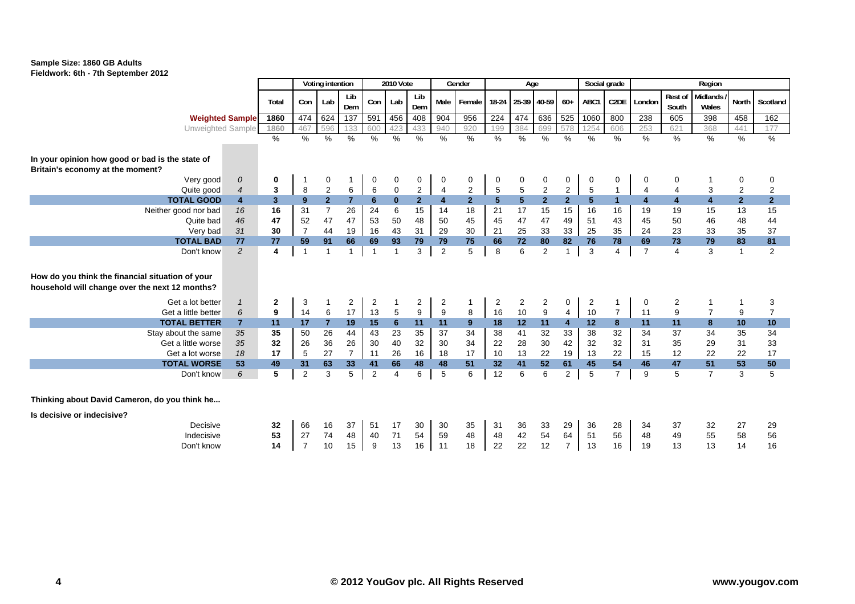

|                                                                                                                |                |                |                        | Voting intention |                   |                               | <b>2010 Vote</b> |                     |                      | Gender              |                  | Age                     |                  |                      |                     | Social grade        |                         |                         | Region                  |                      |                      |
|----------------------------------------------------------------------------------------------------------------|----------------|----------------|------------------------|------------------|-------------------|-------------------------------|------------------|---------------------|----------------------|---------------------|------------------|-------------------------|------------------|----------------------|---------------------|---------------------|-------------------------|-------------------------|-------------------------|----------------------|----------------------|
|                                                                                                                |                | Total          | Con                    | Lab              | Lib<br>Dem        | Con                           | Lab              | Lib<br>Dem          | Male                 | Female I            | 18-24            | 25-39 40-59             |                  | $60+$                | ABC1                | C <sub>2</sub> DE   | London                  | Rest of<br>South        | Midlands<br>Wales       | North                | Scotland             |
| <b>Weighted Sample</b>                                                                                         |                | 1860           | 474                    | 624              | $\overline{137}$  | 591                           | 456              | 408                 | 904                  | 956                 | 224              | 474                     | 636              | 525                  | 1060                | 800                 | 238                     | 605                     | 398                     | 458                  | 162                  |
| <b>Unweighted Sample</b>                                                                                       |                | 1860           | 467                    | 596              | 133               | 600                           | 423              | 433                 | 940                  | 920                 | 199              | 384                     | 699              | 578                  | 1254                | 606                 | 253                     | 621                     | 368                     | 441                  | 177                  |
|                                                                                                                |                | $\%$           | $\frac{9}{6}$          | $\frac{0}{0}$    | %                 | $\%$                          | $\%$             | $\%$                | $\%$                 | $\%$                | $\%$             | $\%$                    | %                | $\frac{0}{6}$        | $\%$                | $\%$                | %                       | %                       | %                       | %                    | $\frac{9}{6}$        |
| In your opinion how good or bad is the state of<br>Britain's economy at the moment?<br>Very good<br>Quite good | 0<br>4         | 0<br>3         | $\mathbf 1$<br>$\,8\,$ | 0<br>$\sqrt{2}$  | -1<br>6           | 0<br>$\,6$                    | 0<br>$\pmb{0}$   | 0<br>$\overline{c}$ | 0<br>$\overline{4}$  | 0<br>$\overline{c}$ | 0<br>$\mathbf 5$ | 0<br>$\mathbf 5$        | 0<br>$\sqrt{2}$  | 0<br>$\overline{2}$  | 0<br>$\overline{5}$ | 0<br>$\overline{1}$ | 0<br>$\overline{4}$     | 0<br>4                  | 3                       | 0<br>2               | 0<br>$\overline{2}$  |
| <b>TOTAL GOOD</b>                                                                                              | $\overline{4}$ | 3 <sup>1</sup> | 9                      | $\overline{2}$   | $\overline{7}$    | $6\phantom{a}$                | $\mathbf{0}$     | 2 <sup>2</sup>      | $\overline{4}$       | 2 <sup>1</sup>      | 5 <sup>5</sup>   | $\overline{\mathbf{5}}$ | 2 <sup>1</sup>   | 2 <sup>1</sup>       | $5\phantom{.0}$     | $\mathbf{1}$        | $\overline{\mathbf{4}}$ | $\overline{\mathbf{4}}$ | $\overline{\mathbf{4}}$ | 2 <sup>2</sup>       | 2 <sup>2</sup>       |
| Neither good nor bad                                                                                           | 16             | 16             | 31                     | $\overline{7}$   | 26                | 24                            | 6                | 15                  | 14                   | 18                  | 21               | 17                      | 15               | 15                   | 16                  | 16                  | 19                      | 19                      | 15                      | 13                   | 15                   |
| Quite bad                                                                                                      | 46             | 47             | 52                     | 47               | 47                | 53                            | 50               | 48                  | 50                   | 45                  | 45               | 47                      | 47               | 49                   | 51                  | 43                  | 45                      | 50                      | 46                      | 48                   | 44                   |
| Very bad                                                                                                       | 31             | 30             | $\overline{7}$         | 44               | 19                | 16                            | 43               | 31                  | 29                   | 30                  | 21               | 25                      | 33               | 33                   | 25                  | 35                  | 24                      | 23                      | 33                      | 35                   | 37                   |
| <b>TOTAL BAD</b><br>Don't know                                                                                 | 77<br>2        | 77<br>4        | 59<br>$\overline{1}$   | 91<br>1          | 66<br>$\mathbf 1$ | 69<br>$\overline{\mathbf{1}}$ | 93               | 79<br>3             | 79<br>$\overline{2}$ | 75<br>5             | 66<br>8          | 72<br>6                 | 80<br>2          | 82<br>$\mathbf{1}$   | 76<br>3             | 78<br>4             | 69<br>$\overline{7}$    | 73<br>4                 | 79<br>3                 | 83<br>$\overline{1}$ | 81<br>$\overline{2}$ |
| How do you think the financial situation of your<br>household will change over the next 12 months?             |                |                |                        |                  |                   |                               |                  |                     |                      |                     |                  |                         |                  |                      |                     |                     |                         |                         |                         |                      |                      |
| Get a lot better                                                                                               |                | $\mathbf{2}$   | 3                      | $\mathbf{1}$     | $\overline{2}$    | $\overline{c}$                | $\mathbf{1}$     | $\overline{2}$      | $\overline{2}$       | -1                  | $\overline{2}$   | $\overline{2}$          | $\overline{2}$   | 0                    | $\overline{2}$      | 1                   | 0                       | $\overline{2}$          |                         | $\mathbf 1$          | 3                    |
| Get a little better                                                                                            | 6              | 9              | 14                     | $\,6\,$          | 17                | 13                            | $\sqrt{5}$       | 9                   | $\boldsymbol{9}$     | 8                   | 16               | $10$                    | $\boldsymbol{9}$ | $\overline{4}$       | 10                  | $\overline{7}$      | 11                      | $\boldsymbol{9}$        | $\overline{7}$          | 9                    | $\overline{7}$       |
| <b>TOTAL BETTER</b>                                                                                            | $\overline{7}$ | 11             | 17                     | $\overline{7}$   | 19                | 15                            | 6                | 11                  | 11                   | 9                   | 18               | 12                      | 11               | $\overline{4}$       | 12                  | 8                   | 11                      | 11                      | 8                       | 10                   | 10                   |
| Stay about the same                                                                                            | 35             | 35             | 50                     | 26               | 44                | 43                            | 23               | 35                  | 37                   | 34                  | 38               | 41                      | 32               | 33                   | 38                  | 32                  | 34                      | 37                      | 34                      | 35                   | $\overline{34}$      |
| Get a little worse                                                                                             | 35             | 32             | 26                     | 36               | 26                | 30                            | 40               | 32                  | 30                   | 34                  | 22               | 28                      | 30               | 42                   | 32                  | 32                  | 31                      | 35                      | 29                      | 31                   | 33                   |
| Get a lot worse                                                                                                | 18             | 17             | $\sqrt{5}$             | 27               | $\overline{7}$    | 11                            | 26               | 16                  | 18                   | 17                  | 10               | 13                      | 22               | 19                   | 13                  | 22                  | 15                      | 12                      | 22                      | 22                   | 17                   |
| <b>TOTAL WORSE</b>                                                                                             | 53             | 49             | 31                     | 63               | 33                | 41                            | 66               | 48                  | 48                   | 51                  | 32               | 41                      | 52               | 61                   | 45                  | 54                  | 46                      | 47                      | 51                      | 53                   | 50                   |
| Don't know                                                                                                     | 6              | 5              | 2                      | 3                | $5\phantom{.0}$   | $\overline{2}$                | $\overline{4}$   | 6                   | 5                    | 6                   | 12               | 6                       | 6                | $\overline{2}$       | 5                   | $\overline{7}$      | 9                       | 5                       | $\overline{7}$          | 3                    | 5                    |
| Thinking about David Cameron, do you think he<br>Is decisive or indecisive?                                    |                |                |                        |                  |                   |                               |                  |                     |                      |                     |                  |                         |                  |                      |                     |                     |                         |                         |                         |                      |                      |
| Decisive                                                                                                       |                | 32             | 66                     | 16               | 37                | 51                            | 17               | 30                  | 30                   | 35                  | 31               | 36                      | 33               | 29                   | 36                  | 28                  | 34                      | 37                      | 32                      | 27                   | 29                   |
| Indecisive<br>Don't know                                                                                       |                | 53<br>14       | 27<br>$\overline{7}$   | 74<br>10         | 48<br>15          | 40<br>9                       | 71<br>13         | 54<br>16            | 59<br>11             | 48<br>18            | 48<br>22         | 42<br>22                | 54<br>12         | 64<br>$\overline{7}$ | 51<br>13            | 56<br>16            | 48<br>19                | 49<br>13                | 55<br>13                | 58<br>14             | 56<br>16             |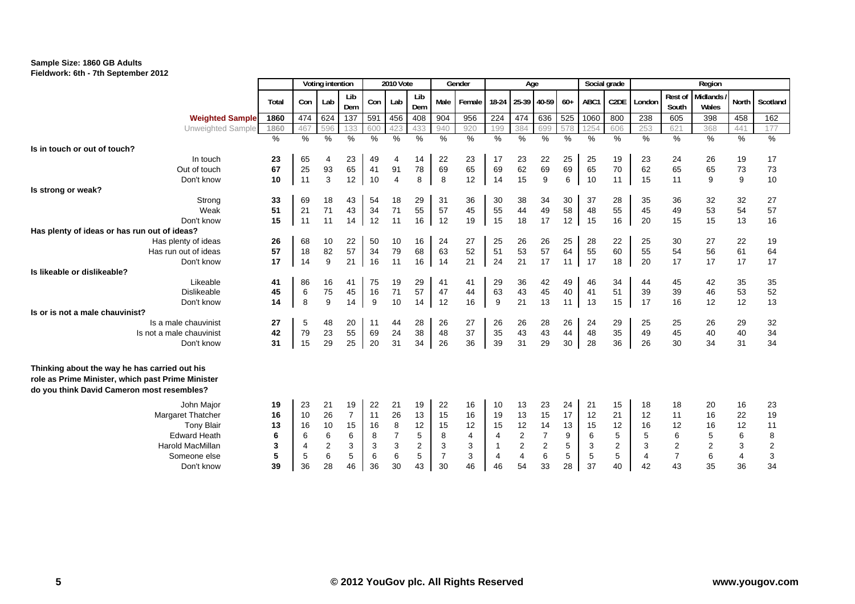

|                                                                                                                                                  |          |               | Voting intention |                |          | <b>2010 Vote</b> |                  |                | Gender         |               | Age            |                  |          | Social grade |                   |                |                  | Region                   |                |                                       |
|--------------------------------------------------------------------------------------------------------------------------------------------------|----------|---------------|------------------|----------------|----------|------------------|------------------|----------------|----------------|---------------|----------------|------------------|----------|--------------|-------------------|----------------|------------------|--------------------------|----------------|---------------------------------------|
|                                                                                                                                                  | Total    | Con           | Lab              | Lib<br>Dem     | Con      | Lab              | Lib<br>Dem       | Male           | Female         | 18-24         | 25-39 40-59    |                  | $60+$    | ABC1         | C <sub>2</sub> DE | London         | Rest of<br>South | <b>Midlands</b><br>Wales | <b>North</b>   | Scotland                              |
| <b>Weighted Sample</b>                                                                                                                           | 1860     | 474           | 624              | 137            | 591      | 456              | 408              | 904            | 956            | 224           | 474            | 636              | 525      | 1060         | 800               | 238            | 605              | 398                      | 458            | 162                                   |
| Unweighted Sample                                                                                                                                | 1860     | 467           | 596              | 133            | 600      | 423              | 433              | 940            | 920            | 199           | 384            | 699              | 578      | 125          | 606               | 253            | 621              | 368                      | 441            | 177                                   |
|                                                                                                                                                  | $\%$     | $\frac{0}{0}$ | $\%$             | $\%$           | $\%$     | %                | $\frac{0}{0}$    | $\%$           | %              | $\frac{0}{0}$ | $\%$           | $\frac{9}{6}$    | $\%$     | $\%$         | $\%$              | %              | %                | $\%$                     | $\%$           | $\frac{9}{6}$                         |
| Is in touch or out of touch?                                                                                                                     |          |               |                  |                |          |                  |                  |                |                |               |                |                  |          |              |                   |                |                  |                          |                |                                       |
| In touch                                                                                                                                         | 23       | 65            | 4                | 23             | 49       | 4                | 14               | 22             | 23             | 17            | 23             | 22               | 25       | 25           | 19                | 23             | 24               | 26                       | 19             | 17                                    |
| Out of touch                                                                                                                                     | 67       | 25            | 93               | 65             | 41       | 91               | 78               | 69             | 65             | 69            | 62             | 69               | 69       | 65           | 70                | 62             | 65               | 65                       | 73             | 73                                    |
| Don't know                                                                                                                                       | 10       | 11            | 3                | 12             | 10       | $\overline{4}$   | 8                | 8              | 12             | 14            | 15             | 9                | 6        | 10           | 11                | 15             | 11               | 9                        | 9              | 10                                    |
| Is strong or weak?                                                                                                                               |          |               |                  |                |          |                  |                  |                |                |               |                |                  |          |              |                   |                |                  |                          |                |                                       |
| Strong                                                                                                                                           | 33       | 69            | 18               | 43             | 54       | 18               | 29               | 31             | 36             | 30            | 38             | 34               | 30       | 37           | 28                | 35             | 36               | 32                       | 32             | 27                                    |
| Weak                                                                                                                                             | 51       | 21            | 71               | 43             | 34       | 71               | 55               | 57             | 45             | 55            | 44             | 49               | 58       | 48           | 55                | 45             | 49               | 53                       | 54             | 57                                    |
| Don't know                                                                                                                                       | 15       | 11            | 11               | 14             | 12       | 11               | 16               | 12             | 19             | 15            | 18             | 17               | 12       | 15           | 16                | 20             | 15               | 15                       | 13             | 16                                    |
| Has plenty of ideas or has run out of ideas?                                                                                                     |          |               |                  |                |          |                  |                  |                |                |               |                |                  |          |              |                   |                |                  |                          |                |                                       |
| Has plenty of ideas                                                                                                                              | 26       | 68            | 10               | 22             | 50       | 10               | 16               | 24             | 27             | 25            | 26             | 26               | 25       | 28           | 22                | 25             | 30               | 27                       | 22             | 19                                    |
| Has run out of ideas                                                                                                                             | 57       | 18            | 82               | 57             | 34       | 79               | 68               | 63             | 52             | 51            | 53             | 57               | 64       | 55           | 60                | 55             | 54               | 56                       | 61             | 64                                    |
| Don't know                                                                                                                                       | 17       | 14            | 9                | 21             | 16       | 11               | 16               | 14             | 21             | 24            | 21             | 17               | 11       | 17           | 18                | 20             | 17               | 17                       | 17             | 17                                    |
| Is likeable or dislikeable?                                                                                                                      |          |               |                  |                |          |                  |                  |                |                |               |                |                  |          |              |                   |                |                  |                          |                |                                       |
| Likeable                                                                                                                                         | 41       | 86            | 16               | 41             | 75       | 19               | 29               | 41             | 41             | 29            | 36             | 42               | 49       | 46           | 34                | 44             | 45               | 42                       | 35             | 35                                    |
| <b>Dislikeable</b>                                                                                                                               | 45       | 6             | 75               | 45             | 16       | 71               | 57               | 47             | 44             | 63            | 43             | 45               | 40       | 41           | 51                | 39             | 39               | 46                       | 53             | 52                                    |
| Don't know                                                                                                                                       | 14       | 8             | 9                | 14             | 9        | 10               | 14               | 12             | 16             | 9             | 21             | 13               | 11       | 13           | 15                | 17             | 16               | 12                       | 12             | 13                                    |
| Is or is not a male chauvinist?                                                                                                                  |          |               |                  |                |          |                  |                  |                |                |               |                |                  |          |              |                   |                |                  |                          |                |                                       |
| Is a male chauvinist<br>Is not a male chauvinist                                                                                                 | 27       | 5             | 48               | 20             | 11       | 44               | 28               | 26             | 27             | 26            | 26             | 28<br>43         | 26       | 24           | 29<br>35          | 25<br>49       | 25               | 26                       | 29             | 32                                    |
|                                                                                                                                                  | 42<br>31 | 79<br>15      | 23<br>29         | 55<br>25       | 69<br>20 | 24               | 38               | 48<br>26       | 37<br>36       | 35            | 43             | 29               | 44<br>30 | 48<br>28     | 36                |                | 45               | 40                       | 40             | 34<br>34                              |
| Don't know                                                                                                                                       |          |               |                  |                |          | 31               | 34               |                |                | 39            | 31             |                  |          |              |                   | 26             | 30               | 34                       | 31             |                                       |
| Thinking about the way he has carried out his<br>role as Prime Minister, which past Prime Minister<br>do you think David Cameron most resembles? |          |               |                  |                |          |                  |                  |                |                |               |                |                  |          |              |                   |                |                  |                          |                |                                       |
| John Major                                                                                                                                       | 19       | 23            | 21               | 19             | 22       | 21               | 19               | 22             | 16             | 10            | 13             | 23               | 24       | 21           | 15                | 18             | 18               | 20                       | 16             | 23                                    |
| Margaret Thatcher                                                                                                                                | 16       | 10            | 26               | $\overline{7}$ | 11       | 26               | 13               | 15             | 16             | 19            | 13             | 15               | 17       | 12           | 21                | 12             | 11               | 16                       | 22             | 19                                    |
| <b>Tony Blair</b>                                                                                                                                | 13       | 16            | 10               | 15             | 16       | 8                | 12               | 15             | 12             | 15            | 12             | 14               | 13       | 15           | 12                | 16             | 12               | 16                       | 12             | 11                                    |
| <b>Edward Heath</b>                                                                                                                              | 6        | 6             | 6                | 6              | 8        |                  | 5                | 8              | $\overline{4}$ | 4             | $\overline{c}$ | $\overline{7}$   | 9        | 6            | 5                 | 5              | 6                | 5                        | 6              | $\bf8$                                |
| <b>Harold MacMillan</b>                                                                                                                          | 3        | 4             | $\boldsymbol{2}$ | 3              | 3        | 3                | $\boldsymbol{2}$ | 3              | 3              |               | $\mathbf 2$    | $\boldsymbol{2}$ | 5        | 3            | 2                 | 3              |                  | 2                        | 3              |                                       |
| Someone else                                                                                                                                     | 5        | 5             | 6                | 5              | 6        | $\,6$            | 5                | $\overline{7}$ | 3              | 4             | $\overline{4}$ | 6                | 5        | 5            | 5                 | $\overline{4}$ | $\frac{2}{7}$    | 6                        | $\overline{4}$ | $\begin{array}{c} 2 \\ 3 \end{array}$ |
| Don't know                                                                                                                                       | 39       | 36            | 28               | 46             | 36       | 30               | 43               | 30             | 46             | 46            | 54             | 33               | 28       | 37           | 40                | 42             | 43               | 35                       | 36             | 34                                    |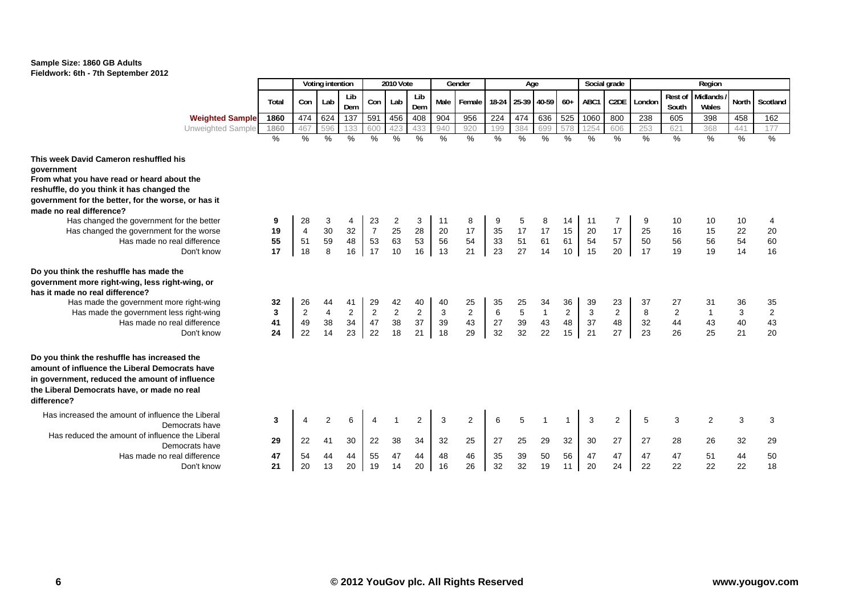

|                                                                                                                                                                                                                |       |                | Voting intention        |                |                | 2010 Vote      |                |               | Gender        |         | Age           |              |               |               | Social grade      |        |                  | Region                   |               |                         |
|----------------------------------------------------------------------------------------------------------------------------------------------------------------------------------------------------------------|-------|----------------|-------------------------|----------------|----------------|----------------|----------------|---------------|---------------|---------|---------------|--------------|---------------|---------------|-------------------|--------|------------------|--------------------------|---------------|-------------------------|
|                                                                                                                                                                                                                | Total | Con            | Lab                     | Lib<br>Dem     | Con            | Lab            | Lib<br>Dem     | Male          | Female        | 18-24   | 25-39 40-59   |              | $60+$         | ABC1          | C <sub>2</sub> DE | London | Rest of<br>South | <b>Midlands</b><br>Wales | <b>North</b>  | Scotland                |
| <b>Weighted Sample</b>                                                                                                                                                                                         | 1860  | 474            | 624                     | 137            | 591            | 456            | 408            | 904           | 956           | 224     | 474           | 636          | 525           | 1060          | 800               | 238    | 605              | 398                      | 458           | 162                     |
| Unweighted Sample                                                                                                                                                                                              | 1860  | 467            | 596                     | 133            | 600            | 423            | 433            | 940           | 920           | 199     | 384           | 699          | 578           | 125           | 606               | 253    | 621              | 368                      | 441           | 177                     |
|                                                                                                                                                                                                                | $\%$  | $\%$           | %                       | %              | $\frac{0}{0}$  | $\%$           | $\frac{9}{6}$  | $\frac{0}{0}$ | $\frac{0}{0}$ | $\%$    | $\frac{0}{0}$ | $\%$         | $\frac{1}{2}$ | $\frac{0}{0}$ | $\%$              | $\%$   | $\%$             | $\frac{0}{0}$            | $\frac{0}{0}$ | $\frac{9}{6}$           |
| This week David Cameron reshuffled his                                                                                                                                                                         |       |                |                         |                |                |                |                |               |               |         |               |              |               |               |                   |        |                  |                          |               |                         |
| government                                                                                                                                                                                                     |       |                |                         |                |                |                |                |               |               |         |               |              |               |               |                   |        |                  |                          |               |                         |
| From what you have read or heard about the                                                                                                                                                                     |       |                |                         |                |                |                |                |               |               |         |               |              |               |               |                   |        |                  |                          |               |                         |
| reshuffle, do you think it has changed the                                                                                                                                                                     |       |                |                         |                |                |                |                |               |               |         |               |              |               |               |                   |        |                  |                          |               |                         |
| government for the better, for the worse, or has it                                                                                                                                                            |       |                |                         |                |                |                |                |               |               |         |               |              |               |               |                   |        |                  |                          |               |                         |
| made no real difference?                                                                                                                                                                                       |       |                |                         |                |                |                |                |               |               |         |               |              |               |               |                   |        |                  |                          |               |                         |
| Has changed the government for the better                                                                                                                                                                      | 9     | 28             | 3                       |                | 23             | 2              | 3              | 11            | 8             |         |               |              | 14            | 11            |                   |        | 10               | 10                       | 10            | 4                       |
| Has changed the government for the worse                                                                                                                                                                       | 19    | $\overline{4}$ | 30                      | 32             | $\overline{7}$ | 25             | 28             | 20            | 17            | 35      | 17            | 17           | 15            | 20            | 17                | 25     | 16               | 15                       | 22            | 20                      |
| Has made no real difference                                                                                                                                                                                    | 55    | 51             | 59                      | 48             | 53             | 63             | 53             | 56            | 54            | 33      | 51            | 61           | 61            | 54            | 57                | 50     | 56               | 56                       | 54            | 60                      |
| Don't know                                                                                                                                                                                                     | 17    | 18             | 8                       | 16             | 17             | 10             | 16             | 13            | 21            | 23      | 27            | 14           | 10            | 15            | 20                | 17     | 19               | 19                       | 14            | 16                      |
| Do you think the reshuffle has made the                                                                                                                                                                        |       |                |                         |                |                |                |                |               |               |         |               |              |               |               |                   |        |                  |                          |               |                         |
| government more right-wing, less right-wing, or                                                                                                                                                                |       |                |                         |                |                |                |                |               |               |         |               |              |               |               |                   |        |                  |                          |               |                         |
| has it made no real difference?                                                                                                                                                                                |       |                |                         |                |                |                |                |               |               |         |               |              |               |               |                   |        |                  |                          |               |                         |
| Has made the government more right-wing                                                                                                                                                                        | 32    | 26             | 44                      | 41             | 29             | 42             | 40             | 40            | 25            | 35      | 25            | 34           | 36            | 39            | 23                | 37     | 27               | 31                       | 36            | 35                      |
| Has made the government less right-wing                                                                                                                                                                        | 3     | $\overline{2}$ | $\overline{\mathbf{4}}$ | $\overline{2}$ | $\mathbf{2}$   | $\overline{2}$ | $\overline{2}$ | 3             | $\sqrt{2}$    | $\,6\,$ | $\sqrt{5}$    | $\mathbf{1}$ | $\mathbf{2}$  | 3             | $\overline{2}$    | 8      | $\overline{2}$   |                          | 3             | $\overline{\mathbf{c}}$ |
| Has made no real difference                                                                                                                                                                                    | 41    | 49             | 38                      | 34             | 47             | 38             | 37             | 39            | 43            | 27      | 39            | 43           | 48            | 37            | 48                | 32     | 44               | 43                       | 40            | 43                      |
| Don't know                                                                                                                                                                                                     | 24    | 22             | 14                      | 23             | 22             | 18             | 21             | 18            | 29            | 32      | 32            | 22           | 15            | 21            | 27                | 23     | 26               | 25                       | 21            | 20                      |
| Do you think the reshuffle has increased the<br>amount of influence the Liberal Democrats have<br>in government, reduced the amount of influence<br>the Liberal Democrats have, or made no real<br>difference? |       |                |                         |                |                |                |                |               |               |         |               |              |               |               |                   |        |                  |                          |               |                         |
| Has increased the amount of influence the Liberal<br>Democrats have                                                                                                                                            | 3     | 4              | 2                       | 6              |                |                | 2              | 3             | 2             | 6       | 5             |              |               | 3             | $\overline{2}$    | 5      | 3                | $\overline{2}$           | 3             | 3                       |
| Has reduced the amount of influence the Liberal<br>Democrats have                                                                                                                                              | 29    | 22             | 41                      | 30             | 22             | 38             | 34             | 32            | 25            | 27      | 25            | 29           | 32            | 30            | 27                | 27     | 28               | 26                       | 32            | 29                      |
| Has made no real difference                                                                                                                                                                                    | 47    | 54             | 44                      | 44             | 55             | 47             | 44             | 48            | 46            | 35      | 39            | 50           | 56            | 47            | 47                | 47     | 47               | 51                       | 44            | 50                      |
| Don't know                                                                                                                                                                                                     | 21    | 20             | 13                      | 20             | 19             | 14             | 20             | 16            | 26            | 32      | 32            | 19           | 11            | 20            | 24                | 22     | 22               | 22                       | 22            | 18                      |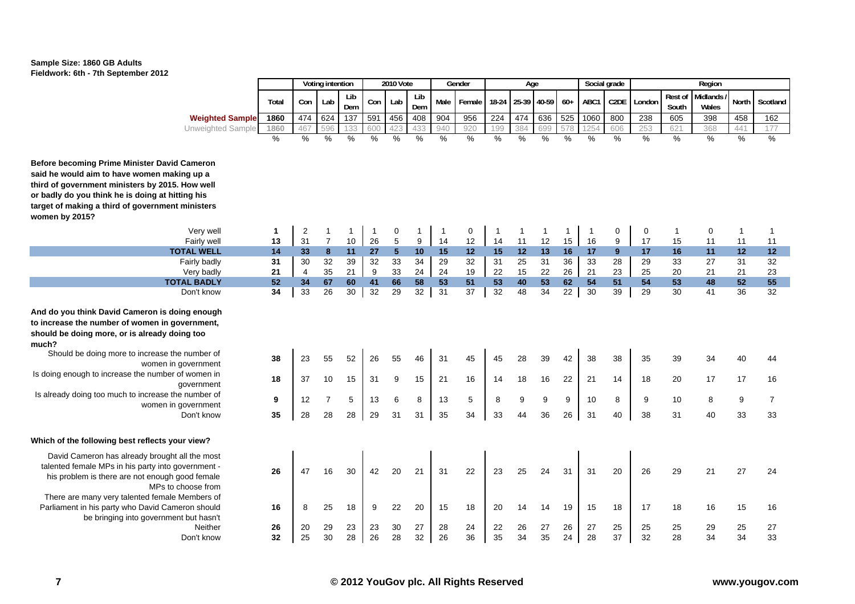

|                                                                                                                                                                                                                                                                                                                                                                              |                     |                         | Voting intention                 |                     |                      | 2010 Vote          |                     |                      | Gender              |                     | Age                 |                     |                     | Social grade         |                     |                     |                      | Region              |                     |                                  |
|------------------------------------------------------------------------------------------------------------------------------------------------------------------------------------------------------------------------------------------------------------------------------------------------------------------------------------------------------------------------------|---------------------|-------------------------|----------------------------------|---------------------|----------------------|--------------------|---------------------|----------------------|---------------------|---------------------|---------------------|---------------------|---------------------|----------------------|---------------------|---------------------|----------------------|---------------------|---------------------|----------------------------------|
|                                                                                                                                                                                                                                                                                                                                                                              | Total               | Con                     | Lab                              | Lib<br>Dem          | Con                  | Lab                | Lib<br>Dem          | Male                 | Female              | 18-24               | 25-39               | 40-59               | $60+$               | ABC1                 | C <sub>2</sub> DE   | London              | Rest of<br>South     | Midlands<br>Wales   | North               | Scotland                         |
| <b>Weighted Sample</b>                                                                                                                                                                                                                                                                                                                                                       | 1860                | 474                     | 624                              | 137                 | 591                  | 456                | 408                 | 904                  | 956                 | 224                 | 474                 | 636                 | 525                 | 1060                 | 800                 | 238                 | 605                  | 398                 | 458                 | 162                              |
| Unweighted Sample                                                                                                                                                                                                                                                                                                                                                            | 1860                | 467                     | 596                              | 133                 | 600                  |                    | 433                 | 940                  | 920                 | 199                 | 384                 | 699                 | 578                 | 254                  | 606                 | 253                 | 621                  | 368                 | 441                 | 177                              |
|                                                                                                                                                                                                                                                                                                                                                                              | %                   | %                       | %                                | $\frac{9}{6}$       | %                    | %                  | $\frac{9}{6}$       | %                    | $\frac{9}{6}$       | $\frac{0}{6}$       | $\%$                | $\frac{9}{6}$       | %                   | $\frac{0}{6}$        | $\frac{9}{6}$       | $\frac{9}{6}$       | $\%$                 | $\frac{9}{6}$       | %                   | $\frac{0}{0}$                    |
|                                                                                                                                                                                                                                                                                                                                                                              |                     |                         |                                  |                     |                      |                    |                     |                      |                     |                     |                     |                     |                     |                      |                     |                     |                      |                     |                     |                                  |
| re becoming Prime Minister David Cameron<br>he would aim to have women making up a<br>of government ministers by 2015. How well<br>adly do you think he is doing at hitting his<br>et of making a third of government ministers<br>en by 2015?                                                                                                                               |                     |                         |                                  |                     |                      |                    |                     |                      |                     |                     |                     |                     |                     |                      |                     |                     |                      |                     |                     |                                  |
| Very well                                                                                                                                                                                                                                                                                                                                                                    | 1                   | $\overline{\mathbf{c}}$ | $\mathbf 1$                      | -1                  | -1                   | 0                  |                     | -1                   | 0                   | -1                  | 1                   | $\mathbf 1$         | 1                   |                      | 0                   | 0                   | $\mathbf{1}$         | 0                   | $\mathbf{1}$        | -1                               |
| Fairly well                                                                                                                                                                                                                                                                                                                                                                  | 13                  | 31                      | $\overline{7}$                   | $10$                | 26                   | $\mathbf 5$        | 9                   | 14                   | 12                  | 14                  | 11                  | 12                  | 15                  | 16                   | $\boldsymbol{9}$    | 17                  | 15                   | 11                  | 11                  | 11                               |
| <b>TOTAL WELL</b>                                                                                                                                                                                                                                                                                                                                                            | 14                  | 33                      | 8                                | 11                  | 27                   | 5 <sup>5</sup>     | 10                  | 15                   | $12$                | 15                  | 12                  | 13                  | 16                  | 17                   | 9                   | 17                  | 16                   | 11                  | 12                  | 12                               |
| Fairly badly                                                                                                                                                                                                                                                                                                                                                                 | 31                  | 30                      | 32                               | 39                  | 32                   | 33                 | 34                  | 29                   | 32                  | 31                  | 25                  | 31                  | 36                  | 33                   | 28                  | 29                  | 33                   | 27                  | 31                  | 32                               |
| Very badly                                                                                                                                                                                                                                                                                                                                                                   | 21                  | $\overline{4}$          | 35                               | 21                  | 9                    | 33                 | 24                  | 24                   | 19                  | 22                  | 15                  | 22                  | 26                  | 21                   | 23                  | 25                  | 20                   | 21                  | 21                  | 23                               |
| <b>TOTAL BADLY</b>                                                                                                                                                                                                                                                                                                                                                           | 52                  | 34                      | 67                               | 60                  | 41                   | 66                 | 58                  | 53                   | 51                  | 53                  | 40                  | 53                  | 62                  | 54                   | 51                  | 54                  | 53                   | 48                  | 52                  | 55                               |
| Don't know                                                                                                                                                                                                                                                                                                                                                                   | 34                  | 33                      | 26                               | 30                  | 32                   | 29                 | 32                  | 31                   | $\overline{37}$     | 32                  | 48                  | 34                  | 22                  | 30                   | 39                  | 29                  | 30                   | 41                  | 36                  | 32                               |
| do you think David Cameron is doing enough<br>crease the number of women in government,<br>Ild be doing more, or is already doing too<br>h?<br>Should be doing more to increase the number of<br>women in government<br>oing enough to increase the number of women in<br>government<br>Iready doing too much to increase the number of<br>women in government<br>Don't know | 38<br>18<br>9<br>35 | 23<br>37<br>12<br>28    | 55<br>10<br>$\overline{7}$<br>28 | 52<br>15<br>5<br>28 | 26<br>31<br>13<br>29 | 55<br>9<br>6<br>31 | 46<br>15<br>8<br>31 | 31<br>21<br>13<br>35 | 45<br>16<br>5<br>34 | 45<br>14<br>8<br>33 | 28<br>18<br>9<br>44 | 39<br>16<br>9<br>36 | 42<br>22<br>9<br>26 | 38<br>21<br>10<br>31 | 38<br>14<br>8<br>40 | 35<br>18<br>9<br>38 | 39<br>20<br>10<br>31 | 34<br>17<br>8<br>40 | 40<br>17<br>9<br>33 | 44<br>16<br>$\overline{7}$<br>33 |
| h of the following best reflects your view?                                                                                                                                                                                                                                                                                                                                  |                     |                         |                                  |                     |                      |                    |                     |                      |                     |                     |                     |                     |                     |                      |                     |                     |                      |                     |                     |                                  |
| David Cameron has already brought all the most<br>lented female MPs in his party into government -<br>his problem is there are not enough good female<br>MPs to choose from<br>here are many very talented female Members of                                                                                                                                                 | 26                  | 47                      | 16                               | 30                  | 42                   | 20                 | 21                  | 31                   | 22                  | 23                  | 25                  | 24                  | 31                  | 31                   | 20                  | 26                  | 29                   | 21                  | 27                  | 24                               |
| rliament in his party who David Cameron should<br>be bringing into government but hasn't                                                                                                                                                                                                                                                                                     | 16                  | 8                       | 25                               | 18                  | 9                    | 22                 | 20                  | 15                   | 18                  | 20                  | 14                  | 14                  | 19                  | 15                   | 18                  | 17                  | 18                   | 16                  | 15                  | 16                               |
| Neither                                                                                                                                                                                                                                                                                                                                                                      | 26                  | 20                      | 29                               | 23                  | 23                   | 30                 | 27                  | 28                   | 24                  | 22                  | 26                  | 27                  | 26                  | 27                   | 25                  | 25                  | 25                   | 29                  | 25                  | 27                               |
| Don't know                                                                                                                                                                                                                                                                                                                                                                   | 32                  | 25                      | 30                               | 28                  | 26                   | 28                 | 32                  | 26                   | 36                  | 35                  | 34                  | 35                  | 24                  | 28                   | 37                  | 32                  | 28                   | 34                  | 34                  | 33                               |
|                                                                                                                                                                                                                                                                                                                                                                              |                     |                         |                                  |                     |                      |                    |                     |                      |                     |                     |                     |                     |                     |                      |                     |                     |                      |                     |                     |                                  |

**Before becoming Prime** said he would aim to ha third of government min or badly do you think he target of making a third **women by 2015?**

**And do you think David** to increase the number should be doing more, **much?**

Is doing enough to increa

Is already doing too mud

# **Which of the following b**

David Cameron has talented female MPs in his problem is there There are many very Parliament in his party be bringing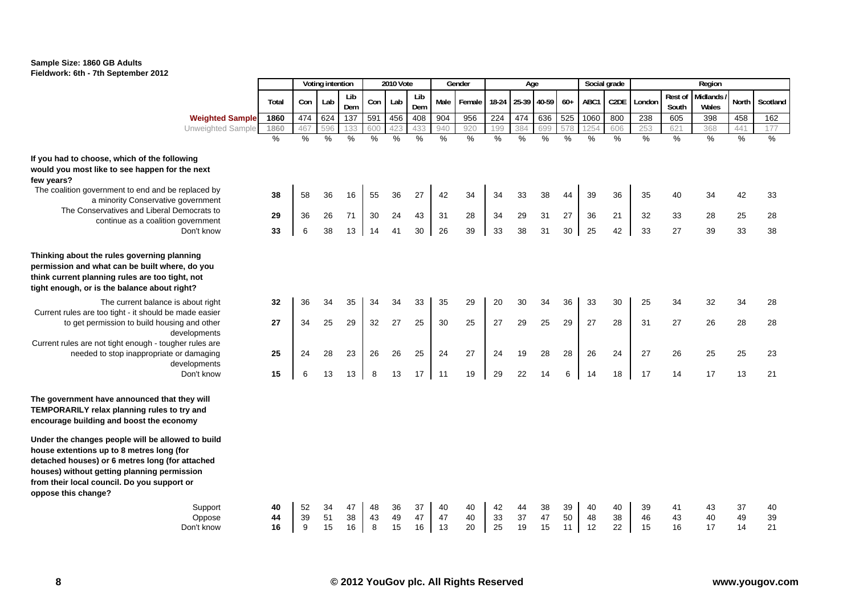

|                                                                                                                                                                                                                                                                        |       |               | Voting intention |            |               | 2010 Vote     |               |               | Gender |               | Age               |               |               |               | Social grade      |        |                  | Region            |               |               |
|------------------------------------------------------------------------------------------------------------------------------------------------------------------------------------------------------------------------------------------------------------------------|-------|---------------|------------------|------------|---------------|---------------|---------------|---------------|--------|---------------|-------------------|---------------|---------------|---------------|-------------------|--------|------------------|-------------------|---------------|---------------|
|                                                                                                                                                                                                                                                                        | Total | Con           | Lab              | Lib<br>Dem | Con           | Lab           | Lib<br>Dem    | Male          | Female |               | 18-24 25-39 40-59 |               | $60+$         | ABC1          | C <sub>2</sub> DE | London | Rest of<br>South | Midlands<br>Wales | North         | Scotland      |
| <b>Weighted Sample</b>                                                                                                                                                                                                                                                 | 1860  | 474           | 624              | 137        | 591           | 456           | 408           | 904           | 956    | 224           | 474               | 636           | 525           | 1060          | 800               | 238    | 605              | 398               | 458           | 162           |
| <b>Unweighted Sample</b>                                                                                                                                                                                                                                               | 1860  | 467           | 596              | 133        | 600           | 423           | 433           | 940           | 920    | 199           | 384               | 699           | 578           | 1254          | 606               | 253    | 621              | 368               | 441           | 177           |
|                                                                                                                                                                                                                                                                        | $\%$  | $\frac{0}{0}$ | $\frac{0}{2}$    | $\%$       | $\frac{9}{6}$ | $\frac{9}{6}$ | $\frac{9}{6}$ | $\frac{9}{6}$ | $\%$   | $\frac{0}{6}$ | $\frac{9}{6}$     | $\frac{9}{6}$ | $\frac{9}{6}$ | $\frac{9}{6}$ | $\frac{9}{6}$     | %      | $\frac{9}{6}$    | $\frac{0}{6}$     | $\frac{9}{6}$ | $\frac{0}{0}$ |
| If you had to choose, which of the following<br>would you most like to see happen for the next<br>few years?                                                                                                                                                           |       |               |                  |            |               |               |               |               |        |               |                   |               |               |               |                   |        |                  |                   |               |               |
| The coalition government to end and be replaced by<br>a minority Conservative government                                                                                                                                                                               | 38    | 58            | 36               | 16         | 55            | 36            | 27            | 42            | 34     | 34            | 33                | 38            | 44            | 39            | 36                | 35     | 40               | 34                | 42            | 33            |
| The Conservatives and Liberal Democrats to<br>continue as a coalition government                                                                                                                                                                                       | 29    | 36            | 26               | 71         | 30            | 24            | 43            | 31            | 28     | 34            | 29                | 31            | 27            | 36            | 21                | 32     | 33               | 28                | 25            | 28            |
| Don't know                                                                                                                                                                                                                                                             | 33    | 6             | 38               | 13         | 14            | 41            | 30            | 26            | 39     | 33            | 38                | 31            | 30            | 25            | 42                | 33     | 27               | 39                | 33            | 38            |
| Thinking about the rules governing planning<br>permission and what can be built where, do you<br>think current planning rules are too tight, not<br>tight enough, or is the balance about right?                                                                       |       |               |                  |            |               |               |               |               |        |               |                   |               |               |               |                   |        |                  |                   |               |               |
| The current balance is about right<br>Current rules are too tight - it should be made easier                                                                                                                                                                           | 32    | 36            | 34               | 35         | 34            | 34            | 33            | 35            | 29     | 20            | 30                | 34            | 36            | 33            | 30                | 25     | 34               | 32                | 34            | 28            |
| to get permission to build housing and other<br>developments<br>Current rules are not tight enough - tougher rules are                                                                                                                                                 | 27    | 34            | 25               | 29         | 32            | 27            | 25            | 30            | 25     | 27            | 29                | 25            | 29            | 27            | 28                | 31     | 27               | 26                | 28            | 28            |
| needed to stop inappropriate or damaging<br>developments                                                                                                                                                                                                               | 25    | 24            | 28               | 23         | 26            | 26            | 25            | 24            | 27     | 24            | 19                | 28            | 28            | 26            | 24                | 27     | 26               | 25                | 25            | 23            |
| Don't know                                                                                                                                                                                                                                                             | 15    | 6             | 13               | 13         | 8             | 13            | 17            | 11            | 19     | 29            | 22                | 14            | 6             | 14            | 18                | 17     | 14               | 17                | 13            | 21            |
| The government have announced that they will<br>TEMPORARILY relax planning rules to try and<br>encourage building and boost the economy                                                                                                                                |       |               |                  |            |               |               |               |               |        |               |                   |               |               |               |                   |        |                  |                   |               |               |
| Under the changes people will be allowed to build<br>house extentions up to 8 metres long (for<br>detached houses) or 6 metres long (for attached<br>houses) without getting planning permission<br>from their local council. Do you support or<br>oppose this change? |       |               |                  |            |               |               |               |               |        |               |                   |               |               |               |                   |        |                  |                   |               |               |
| Support                                                                                                                                                                                                                                                                | 40    | 52            | 34               | 47         | 48            | 36            | 37            | 40            | 40     | 42            | 44                | 38            | 39            | 40            | 40                | 39     | 41               | 43                | 37            | 40            |
| Oppose                                                                                                                                                                                                                                                                 | 44    | 39            | 51               | 38         | 43            | 49            | 47            | 47            | 40     | 33            | 37                | 47            | 50            | 48            | 38                | 46     | 43               | 40                | 49            | 39            |
| Don't know                                                                                                                                                                                                                                                             | 16    | 9             | 15               | 16         | 8             | 15            | 16            | 13            | 20     | 25            | 19                | 15            | 11            | 12            | 22                | 15     | 16               | 17                | 14            | 21            |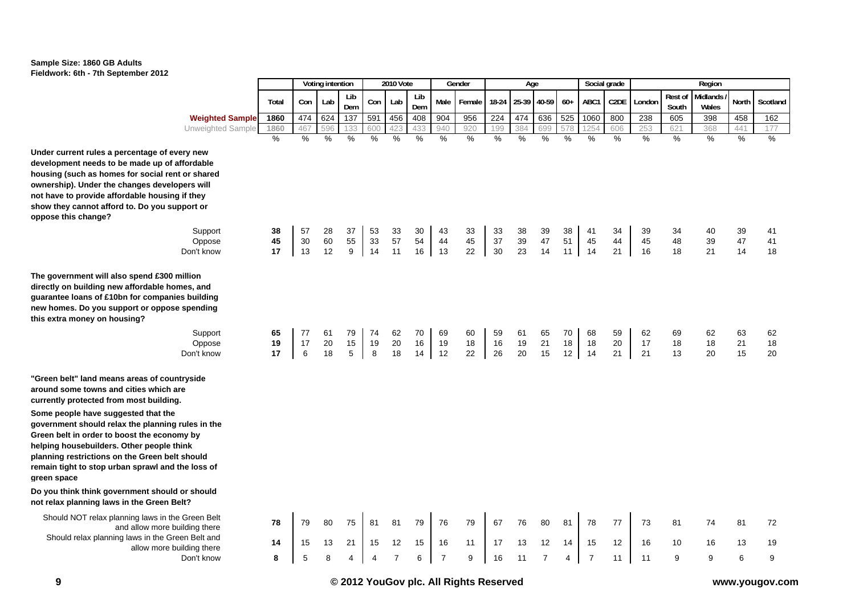

|                                                                                                                                                                        |                |               | Voting intention |               |                | 2010 Vote      |                |                | Gender         |                | Age            |                |                | Social grade   |                |                |                  | Region            |                |                |
|------------------------------------------------------------------------------------------------------------------------------------------------------------------------|----------------|---------------|------------------|---------------|----------------|----------------|----------------|----------------|----------------|----------------|----------------|----------------|----------------|----------------|----------------|----------------|------------------|-------------------|----------------|----------------|
|                                                                                                                                                                        | Total          | Con           | Lab              | Lib<br>Dem    | Con            | Lab            | Lib<br>Dem     | Male           | Female         | 18-24          | 25-39          | 40-59          | $60+$          | ABC1           | C2DE           | London         | Rest of<br>South | Midlands<br>Wales | North          | Scotland       |
| <b>Weighted Sample</b>                                                                                                                                                 | 1860           | 474           | 624              | 137           | 591            | 456            | 408            | 904            | 956            | 224            | 474            | 636            | 525            | 1060           | 800            | 238            | 605              | 398               | 458            | 162            |
| Unweighted Sample                                                                                                                                                      | 1860           | 467           | 596              | 133           | 600            | 423            | 433            | 940            | 920            | 199            | 384            | 699            | 578            | 1254           | 606            | 253            | 621              | 368               | 441            | 177            |
|                                                                                                                                                                        | $\%$           | $\frac{9}{6}$ | %                | $\%$          | $\%$           | %              | $\%$           | %              | %              | $\%$           | $\frac{0}{0}$  | $\%$           | $\frac{0}{0}$  | $\frac{0}{0}$  | %              | $\frac{0}{0}$  | $\%$             | $\%$              | $\%$           | $\frac{9}{6}$  |
| percentage of every new<br>be made up of affordable<br>es for social rent or shared<br>changes developers will<br>fordable housing if they<br>rd to. Do you support or |                |               |                  |               |                |                |                |                |                |                |                |                |                |                |                |                |                  |                   |                |                |
|                                                                                                                                                                        | 38             | 57            | 28               | 37            | 53             |                | 30             | 43             |                | 33             |                |                | 38             | 41             | 34             | 39             | 34               | 40                |                |                |
| Support<br>Oppose                                                                                                                                                      | 45             | 30            | 60               | 55            | 33             | 33<br>57       | 54             | 44             | 33<br>45       | 37             | 38<br>39       | 39<br>47       | 51             | 45             | 44             | 45             | 48               | 39                | 39<br>47       | 41<br>41       |
| Don't know                                                                                                                                                             | 17             | 13            | 12               | 9             | 14             | 11             | 16             | 13             | 22             | 30             | 23             | 14             | 11             | 14             | 21             | 16             | 18               | 21                | 14             | 18             |
|                                                                                                                                                                        |                |               |                  |               |                |                |                |                |                |                |                |                |                |                |                |                |                  |                   |                |                |
| Iso spend £300 million<br>w affordable homes, and<br>Obn for companies building<br>ipport or oppose spending<br>busing?<br>Support<br>Oppose<br>Don't know             | 65<br>19<br>17 | 77<br>17<br>6 | 61<br>20<br>18   | 79<br>15<br>5 | 74<br>19<br>8  | 62<br>20<br>18 | 70<br>16<br>14 | 69<br>19<br>12 | 60<br>18<br>22 | 59<br>16<br>26 | 61<br>19<br>20 | 65<br>21<br>15 | 70<br>18<br>12 | 68<br>18<br>14 | 59<br>20<br>21 | 62<br>17<br>21 | 69<br>18<br>13   | 62<br>18<br>20    | 63<br>21<br>15 | 62<br>18<br>20 |
| ns areas of countryside<br><b>nd cities which are</b><br>m most building.                                                                                              |                |               |                  |               |                |                |                |                |                |                |                |                |                |                |                |                |                  |                   |                |                |
| gested that the<br>lax the planning rules in the<br>boost the economy by<br>. Other people think<br>n the Green belt should<br>ban sprawl and the loss of              |                |               |                  |               |                |                |                |                |                |                |                |                |                |                |                |                |                  |                   |                |                |
| ernment should or should<br>s in the Green Belt?                                                                                                                       |                |               |                  |               |                |                |                |                |                |                |                |                |                |                |                |                |                  |                   |                |                |
| anning laws in the Green Belt<br>and allow more building there                                                                                                         | 78             | 79            | 80               | 75            | 81             | 81             | 79             | 76             | 79             | 67             | 76             | 80             | 81             | 78             | 77             | 73             | 81               | 74                | 81             | 72             |
| ng laws in the Green Belt and<br>allow more building there                                                                                                             | 14             | 15            | 13               | 21            | 15             | 12             | 15             | 16             | 11             | 17             | 13             | 12             | 14             | 15             | 12             | 16             | 10               | 16                | 13             | 19             |
| Don't know                                                                                                                                                             | 8              | 5             | 8                | 4             | $\overline{4}$ | $\overline{7}$ | 6              | $\overline{7}$ | 9              | 16             | 11             | $\overline{7}$ | 4              | $\overline{7}$ | 11             | 11             | 9                | 9                 | 6              | 9              |

**Under current rules a percentage of** development needs to be made up housing (such as homes for social ownership). Under the changes de not have to provide affordable hou show they cannot afford to. Do you **oppose this change?**

The government will also spend £3 directly on building new affordable guarantee loans of £10bn for comp new homes. Do you support or opp **this extra money on housing?**

"Green belt" land means areas of **c** around some towns and cities which currently protected from most build **Some people have suggested that** government should relax the planr **Green belt in order to boost the economy of the above the deta** helping housebuilders. Other peop planning restrictions on the Green remain tight to stop urban sprawl a **green space**

**Do you think think government show** not relax planning laws in the Gree

Should NOT relax planning laws in the Green Beltanning and allow motion Should relax planning laws in the<br>allow mo

**© 2012 YouGov plc. All Rights Reserved www.yougov.com**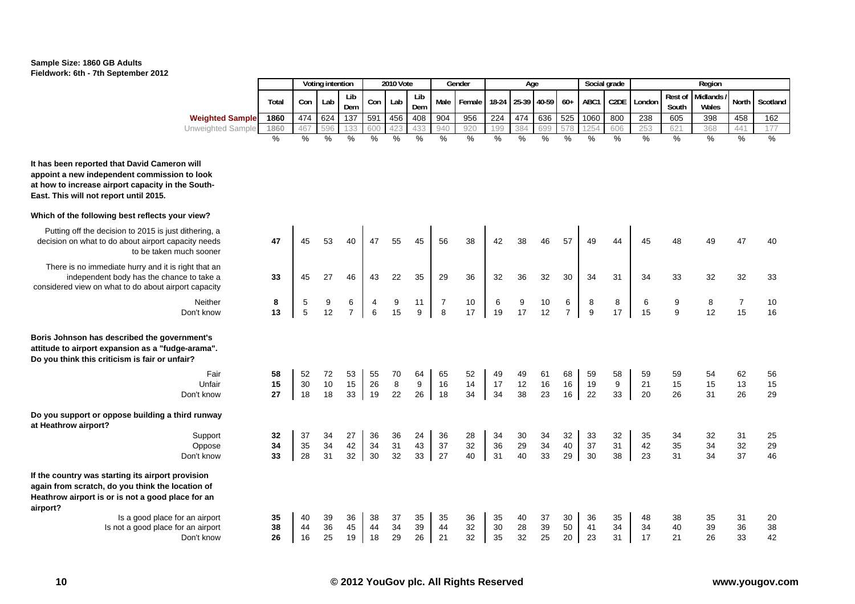

|                        |       |     | Voting intention |            |     | <b>2010 Vote</b> |            |      | Gender                               |     | Age |     |     |      | Social grade |              |                 | Reaion                      |              |          |
|------------------------|-------|-----|------------------|------------|-----|------------------|------------|------|--------------------------------------|-----|-----|-----|-----|------|--------------|--------------|-----------------|-----------------------------|--------------|----------|
|                        | Total | Con | Lab              | Lib<br>Dem | Con | Lab              | Lib<br>Dem | Male | Female   18-24   25-39   40-59   60+ |     |     |     |     | ABC1 | C2DE         | : I London I | South           | Rest of Midlands /<br>Wales | <b>North</b> | Scotland |
| <b>Weighted Sample</b> | 1860  | 474 | 624              | 137        | 591 | 456              | 408        | 904  | 956                                  | 224 | 474 | 636 | 525 | 1060 | 800          | 238          | 605             | 398                         | 458          | 162      |
| Unweighted Sample      | 1860  | 467 | 596              | 133        | 600 | 423              | 433        | 94   | 920                                  | 199 | 384 | 699 | 578 | つに.  | 606          | 253          | 62 <sup>4</sup> | 368                         |              |          |
|                        |       |     |                  |            |     |                  |            |      |                                      |     |     |     |     |      |              |              |                 |                             |              |          |

**It has been reported that David Cameron will appoint a new independent commission to look at how to increase airport capacity in the South-East. This will not report until 2015.**

#### **Which of the following best reflects your view?**

Putting off the decision to 2015 is just dithering, a decision on what to do about airport capacity needs to be taken much sooner

There is no immediate hurry and it is right that an independent body has the chance to take a considered view on what to do about airport capacity

> NeitherDon't know

**Boris Johnson has described the government's attitude to airport expansion as a "fudge-arama". Do you think this criticism is fair or unfair?**

|                                                                          | Untair     |
|--------------------------------------------------------------------------|------------|
|                                                                          | Don't know |
| Do you support or oppose building a third runway<br>at Heathrow airport? |            |
|                                                                          |            |
|                                                                          | Support    |
|                                                                          | Oppose     |
|                                                                          | Don't know |

**If the country was starting its airport provision again from scratch, do you think the location of Heathrow airport is or is not a good place for an airport?**

**Is a good place for an airport Is not a good place for an airport** Don't know

| iew?                               |                |                |                |                     |                |                     |                              |                     |                |                |                |                |                     |                |                              |                |                |                |                      |                |
|------------------------------------|----------------|----------------|----------------|---------------------|----------------|---------------------|------------------------------|---------------------|----------------|----------------|----------------|----------------|---------------------|----------------|------------------------------|----------------|----------------|----------------|----------------------|----------------|
| ering, a<br>y needs<br>sooner      | 47             | 45             | 53             | 40                  | 47             | 55                  | 45                           | 56                  | 38             | 42             | 38             | 46             | 57                  | 49             | 44                           | 45             | 48             | 49             | 47                   | 40             |
| that an<br>ɔ take a<br>capacity    | 33             | 45             | 27             | 46                  | 43             | 22                  | 35                           | 29                  | 36             | 32             | 36             | 32             | 30                  | 34             | 31                           | 34             | 33             | 32             | 32                   | 33             |
| Neither<br>า't know                | 8<br>13        | 5<br>5         | 9<br>12        | 6<br>$\overline{7}$ | 4<br>6         | 9<br>15             | 11<br>9                      | $\overline{7}$<br>8 | 10<br>17       | 6<br>19        | 9<br>17        | 10<br>12       | 6<br>$\overline{7}$ | 8<br>9         | 8<br>17                      | 6<br>15        | 9<br>9         | 8<br>12        | $\overline{7}$<br>15 | 10<br>16       |
| ent's<br>rama".                    |                |                |                |                     |                |                     |                              |                     |                |                |                |                |                     |                |                              |                |                |                |                      |                |
| Fair<br>Unfair<br>า't know         | 58<br>15<br>27 | 52<br>30<br>18 | 72<br>10<br>18 | 53<br>15<br>33      | 55<br>26<br>19 | 70<br>$\bf 8$<br>22 | 64<br>$\boldsymbol{9}$<br>26 | 65<br>16<br>18      | 52<br>14<br>34 | 49<br>17<br>34 | 49<br>12<br>38 | 61<br>16<br>23 | 68<br>16<br>16      | 59<br>19<br>22 | 58<br>$\boldsymbol{9}$<br>33 | 59<br>21<br>20 | 59<br>15<br>26 | 54<br>15<br>31 | 62<br>13<br>26       | 56<br>15<br>29 |
| runway                             |                |                |                |                     |                |                     |                              |                     |                |                |                |                |                     |                |                              |                |                |                |                      |                |
| Support<br>Oppose<br>า't know      | 32<br>34<br>33 | 37<br>35<br>28 | 34<br>34<br>31 | 27<br>42<br>32      | 36<br>34<br>30 | 36<br>31<br>32      | 24<br>43<br>33               | 36<br>37<br>27      | 28<br>32<br>40 | 34<br>36<br>31 | 30<br>29<br>40 | 34<br>34<br>33 | 32<br>40<br>29      | 33<br>37<br>30 | 32<br>31<br>38               | 35<br>42<br>23 | 34<br>35<br>31 | 32<br>34<br>34 | 31<br>32<br>37       | 25<br>29<br>46 |
| sion<br>on of<br>ior an            |                |                |                |                     |                |                     |                              |                     |                |                |                |                |                     |                |                              |                |                |                |                      |                |
| airport ו<br>airport ו<br>า't know | 35<br>38<br>26 | 40<br>44<br>16 | 39<br>36<br>25 | 36<br>45<br>19      | 38<br>44<br>18 | 37<br>34<br>29      | 35<br>39<br>26               | 35<br>44<br>21      | 36<br>32<br>32 | 35<br>30<br>35 | 40<br>28<br>32 | 37<br>39<br>25 | 30<br>50<br>20      | 36<br>41<br>23 | 35<br>34<br>31               | 48<br>34<br>17 | 38<br>40<br>21 | 35<br>39<br>26 | 31<br>36<br>33       | 20<br>38<br>42 |
|                                    |                |                |                |                     |                |                     |                              |                     |                |                |                |                |                     |                |                              |                |                |                |                      |                |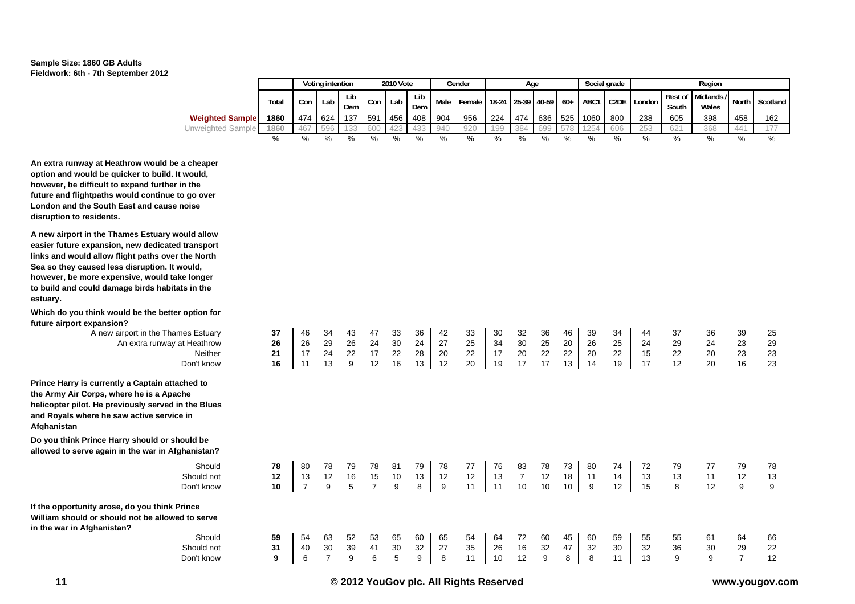

|                          |       |     | Voting intention |            |     | 2010 Vote |               |      | Gender                       |     | Aae         |     |     |      | Social grade |            |       | Region                      |       |          |
|--------------------------|-------|-----|------------------|------------|-----|-----------|---------------|------|------------------------------|-----|-------------|-----|-----|------|--------------|------------|-------|-----------------------------|-------|----------|
|                          | Total | Con | Lab              | Lib<br>Dem | Con | Lab       | Lib<br>Dem    | Male | Female 18-24 25-39 40-59 60+ |     |             |     |     | ABC1 | C2DE         | I London I | South | Rest of Midlands /<br>Wales | North | Scotland |
| <b>Weighted Sample</b>   | 1860  | 474 | 624              | 137        | 591 | 456       | 408           | 904  | 956                          | 224 | $\vert$ 474 | 636 | 525 | 1060 | 800          | 238        | 605   | 398                         | 458   | 162      |
| <b>Unweighted Sample</b> | 1860  | 467 | 596              | 122        |     |           | 433           |      | 920                          | 199 | 384         | 699 | 578 | こつらん | 606          | 253        | 621   | 368                         | ΔД    |          |
|                          | %     |     | %                | %          | %   | %         | $\frac{0}{6}$ | %    | %                            |     | %           |     | %   | %    |              |            |       | %                           |       | %        |

17 24 22 17 22 28 20 22 17 20 22 22 20 22 15 22 20 23 23

13 12 16 15 10 13 12 12 13 7 12 18 11 14 13 13 11 12 13

40 30 39 41 30 32 27 35 26 16 32 47 32 30 32 36 30 29 22

**An extra runway at Heathrow would be a cheaper option and would be quicker to build. It would, however, be difficult to expand further in the future and flightpaths would continue to go over London and the South East and cause noise disruption to residents.**

**A new airport in the Thames Estuary would allow easier future expansion, new dedicated transport links and would allow flight paths over the North Sea so they caused less disruption. It would, however, be more expensive, would take longer to build and could damage birds habitats in the estuary.**

**Which do you think would be the better option for future airport expansion?**

A new airport in the Thames Estuary **37** 46 34 43 47 33 36 42 33 30 32 36 46 39 34 44 37 36 39 25<br>An extra runway at Heathrow **26** 26 29 26 24 30 24 27 25 34 30 25 20 26 25 24 29 24 23 29 An extra runway at Heathrow **26** 26 27 26 24 30 24 27 25 34 30 25 20 26 25 24 NeitherDon't know**16** 11 13 9 12 16 13 12 20 19 17 17 13 14 19 17 12 20 16 23

**Prince Harry is currently a Captain attached to the Army Air Corps, where he is a Apache helicopter pilot. He previously served in the Blues and Royals where he saw active service in Afghanistan**

**Do you think Prince Harry should or should be allowed to serve again in the war in Afghanistan?**

> Should **78** 80 78 79 78 81 79 78 77 76 83 78 73 80 74 72 79 77 79 78 Should notDon't know**10** 7 9 5 7 9 8 9 11 11 10 10 10 9 12 15 8 12 9 9

**21**

**12**

**31**

**If the opportunity arose, do you think Prince William should or should not be allowed to serve in the war in Afghanistan?**

**Should 59** 54 63 52 53 65 60 65 54 64 72 60 45 60 59 55 55 61 64 66 Should notDon't know**9** 6 7 9 6 5 9 8 11 10 12 9 8 8 11 13 9 9 7 12

**© 2012 YouGov plc. All Rights Reserved www.yougov.com**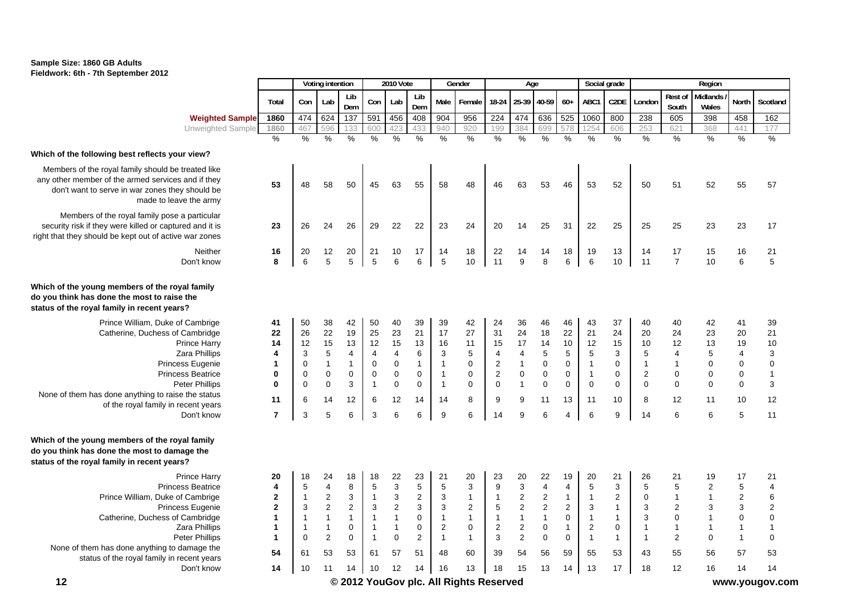

|                                                                                                                                                                                                                                                                                          |                                                            |                                                             | Voting intention                                                             |                                                                                     |                                                                                     | 2010 Vote                                                                              |                                                               |                                                                           | Gender                                                                       |                                                                                                            | Age                                                                   |                                                                           |                                                                        | Social grade                                                                            |                                                                                |                                                                       |                                                                                              | Region                                                                       |                                                                                          |                                                                                                               |
|------------------------------------------------------------------------------------------------------------------------------------------------------------------------------------------------------------------------------------------------------------------------------------------|------------------------------------------------------------|-------------------------------------------------------------|------------------------------------------------------------------------------|-------------------------------------------------------------------------------------|-------------------------------------------------------------------------------------|----------------------------------------------------------------------------------------|---------------------------------------------------------------|---------------------------------------------------------------------------|------------------------------------------------------------------------------|------------------------------------------------------------------------------------------------------------|-----------------------------------------------------------------------|---------------------------------------------------------------------------|------------------------------------------------------------------------|-----------------------------------------------------------------------------------------|--------------------------------------------------------------------------------|-----------------------------------------------------------------------|----------------------------------------------------------------------------------------------|------------------------------------------------------------------------------|------------------------------------------------------------------------------------------|---------------------------------------------------------------------------------------------------------------|
|                                                                                                                                                                                                                                                                                          | Total                                                      | Con                                                         | Lab                                                                          | Lib<br>Dem                                                                          | Con                                                                                 | Lab                                                                                    | Lib<br>Dem                                                    | Male                                                                      | Female                                                                       | 18-24                                                                                                      | 25-39                                                                 | 40-59                                                                     | $60+$                                                                  | ABC1                                                                                    | C2DE                                                                           | London                                                                | <b>Rest of</b><br>South                                                                      | Midlands<br>Wales                                                            | North                                                                                    | Scotland                                                                                                      |
| <b>Weighted Sample</b>                                                                                                                                                                                                                                                                   | 1860                                                       | 474                                                         | 624                                                                          | 137                                                                                 | 591                                                                                 | 456                                                                                    | 408                                                           | 904                                                                       | 956                                                                          | 224                                                                                                        | 474                                                                   | 636                                                                       | 525                                                                    | 1060                                                                                    | 800                                                                            | 238                                                                   | 605                                                                                          | 398                                                                          | 458                                                                                      | 162                                                                                                           |
| Unweighted Sample                                                                                                                                                                                                                                                                        | 1860                                                       | 467                                                         | 596                                                                          | 133                                                                                 | 600                                                                                 | 423                                                                                    | 433                                                           | 940                                                                       | 920                                                                          | 199                                                                                                        | 384                                                                   | 699                                                                       | 578                                                                    | 1254                                                                                    | 606                                                                            | 253                                                                   | 621                                                                                          | 368                                                                          | 441                                                                                      | 177                                                                                                           |
|                                                                                                                                                                                                                                                                                          | $\frac{0}{0}$                                              | $\%$                                                        | $\%$                                                                         | $\frac{9}{6}$                                                                       | $\%$                                                                                | $\%$                                                                                   | %                                                             | $\frac{9}{6}$                                                             | %                                                                            | %                                                                                                          | %                                                                     | $\frac{0}{0}$                                                             | $\frac{9}{6}$                                                          | %                                                                                       | $\frac{0}{0}$                                                                  | $\%$                                                                  | $\%$                                                                                         | $\frac{0}{0}$                                                                | %                                                                                        | $\%$                                                                                                          |
| Which of the following best reflects your view?                                                                                                                                                                                                                                          |                                                            |                                                             |                                                                              |                                                                                     |                                                                                     |                                                                                        |                                                               |                                                                           |                                                                              |                                                                                                            |                                                                       |                                                                           |                                                                        |                                                                                         |                                                                                |                                                                       |                                                                                              |                                                                              |                                                                                          |                                                                                                               |
| Members of the royal family should be treated like<br>any other member of the armed services and if they<br>don't want to serve in war zones they should be<br>made to leave the army                                                                                                    | 53                                                         | 48                                                          | 58                                                                           | 50                                                                                  | 45                                                                                  | 63                                                                                     | 55                                                            | 58                                                                        | 48                                                                           | 46                                                                                                         | 63                                                                    | 53                                                                        | 46                                                                     | 53                                                                                      | 52                                                                             | 50                                                                    | 51                                                                                           | 52                                                                           | 55                                                                                       | 57                                                                                                            |
| Members of the royal family pose a particular<br>security risk if they were killed or captured and it is<br>right that they should be kept out of active war zones                                                                                                                       | 23                                                         | 26                                                          | 24                                                                           | 26                                                                                  | 29                                                                                  | 22                                                                                     | 22                                                            | 23                                                                        | 24                                                                           | 20                                                                                                         | 14                                                                    | 25                                                                        | 31                                                                     | 22                                                                                      | 25                                                                             | 25                                                                    | 25                                                                                           | 23                                                                           | 23                                                                                       | 17                                                                                                            |
| Neither                                                                                                                                                                                                                                                                                  | 16                                                         | 20                                                          | 12                                                                           | 20                                                                                  | 21                                                                                  | 10                                                                                     | 17                                                            | 14                                                                        | 18                                                                           | 22                                                                                                         | 14                                                                    | 14                                                                        | 18                                                                     | 19                                                                                      | 13                                                                             | 14                                                                    | 17                                                                                           | 15                                                                           | 16                                                                                       | 21                                                                                                            |
| Don't know                                                                                                                                                                                                                                                                               | 8                                                          | 6                                                           | 5                                                                            | 5                                                                                   | 5                                                                                   | 6                                                                                      | 6                                                             | 5                                                                         | 10                                                                           | 11                                                                                                         | 9                                                                     | 8                                                                         | 6                                                                      | 6                                                                                       | 10                                                                             | 11                                                                    | $\overline{7}$                                                                               | 10 <sup>°</sup>                                                              | 6                                                                                        | $\sqrt{5}$                                                                                                    |
| Which of the young members of the royal family<br>do you think has done the most to raise the<br>status of the royal family in recent years?                                                                                                                                             |                                                            |                                                             |                                                                              |                                                                                     |                                                                                     |                                                                                        |                                                               |                                                                           |                                                                              |                                                                                                            |                                                                       |                                                                           |                                                                        |                                                                                         |                                                                                |                                                                       |                                                                                              |                                                                              |                                                                                          |                                                                                                               |
| Prince William, Duke of Cambrige<br>Catherine, Duchess of Cambridge<br><b>Prince Harry</b><br>Zara Phillips<br><b>Princess Eugenie</b><br><b>Princess Beatrice</b><br><b>Peter Phillips</b><br>None of them has done anything to raise the status<br>of the royal family in recent years | 41<br>22<br>14<br>4<br>$\mathbf{1}$<br>0<br>$\bf{0}$<br>11 | 50<br>26<br>12<br>3<br>$\mathbf 0$<br>0<br>$\mathbf 0$<br>6 | 38<br>22<br>15<br>$\sqrt{5}$<br>$\mathbf{1}$<br>$\pmb{0}$<br>$\pmb{0}$<br>14 | 42<br>19<br>13<br>4<br>$\mathbf{1}$<br>$\pmb{0}$<br>$\ensuremath{\mathsf{3}}$<br>12 | 50<br>25<br>12<br>$\overline{4}$<br>$\mathbf 0$<br>$\pmb{0}$<br>$\overline{1}$<br>6 | 40<br>23<br>15<br>$\overline{\mathbf{4}}$<br>$\pmb{0}$<br>$\pmb{0}$<br>$\pmb{0}$<br>12 | 39<br>21<br>13<br>6<br>$\mathbf{1}$<br>0<br>$\mathbf 0$<br>14 | 39<br>17<br>16<br>3<br>$\mathbf{1}$<br>$\mathbf{1}$<br>$\mathbf{1}$<br>14 | 42<br>27<br>11<br>$\sqrt{5}$<br>$\pmb{0}$<br>$\mathbf 0$<br>$\mathbf 0$<br>8 | 24<br>31<br>15<br>$\overline{4}$<br>$\overline{\mathbf{c}}$<br>$\overline{\mathbf{c}}$<br>$\mathbf 0$<br>9 | 36<br>24<br>17<br>4<br>$\mathbf{1}$<br>$\pmb{0}$<br>$\mathbf{1}$<br>9 | 46<br>18<br>14<br>$\sqrt{5}$<br>$\pmb{0}$<br>$\pmb{0}$<br>$\pmb{0}$<br>11 | 46<br>22<br>10<br>5<br>$\mathbf 0$<br>$\mathbf 0$<br>$\mathbf 0$<br>13 | 43<br>21<br>12<br>$\overline{5}$<br>$\overline{1}$<br>$\overline{1}$<br>$\pmb{0}$<br>11 | 37<br>24<br>15<br>$\mathsf 3$<br>$\mathbf 0$<br>$\pmb{0}$<br>$\mathbf 0$<br>10 | 40<br>20<br>10<br>5<br>$\mathbf{1}$<br>$\sqrt{2}$<br>$\mathbf 0$<br>8 | 40<br>24<br>12<br>$\overline{\mathcal{A}}$<br>$\mathbf{1}$<br>$\pmb{0}$<br>$\mathbf 0$<br>12 | 42<br>23<br>13<br>$\,$ 5 $\,$<br>$\pmb{0}$<br>$\pmb{0}$<br>$\mathbf 0$<br>11 | 41<br>20<br>19<br>$\overline{\mathbf{4}}$<br>$\pmb{0}$<br>$\pmb{0}$<br>$\mathbf 0$<br>10 | 39<br>21<br>10<br>$\ensuremath{\mathsf{3}}$<br>$\mathbf 0$<br>$\mathbf{1}$<br>$\ensuremath{\mathsf{3}}$<br>12 |
| Don't know                                                                                                                                                                                                                                                                               | $\overline{7}$                                             | 3                                                           | $\sqrt{5}$                                                                   | 6                                                                                   | 3                                                                                   | 6                                                                                      | 6                                                             | 9                                                                         | 6                                                                            | 14                                                                                                         | 9                                                                     | $\,6\,$                                                                   | $\overline{4}$                                                         | $\,6$                                                                                   | $\boldsymbol{9}$                                                               | 14                                                                    | 6                                                                                            | 6                                                                            | $5\phantom{.0}$                                                                          | 11                                                                                                            |
| Which of the young members of the royal family<br>do you think has done the most to damage the<br>status of the royal family in recent years?                                                                                                                                            |                                                            |                                                             |                                                                              |                                                                                     |                                                                                     |                                                                                        |                                                               |                                                                           |                                                                              |                                                                                                            |                                                                       |                                                                           |                                                                        |                                                                                         |                                                                                |                                                                       |                                                                                              |                                                                              |                                                                                          |                                                                                                               |
| <b>Prince Harry</b>                                                                                                                                                                                                                                                                      | 20                                                         | 18<br>$\sqrt{5}$                                            | 24<br>$\overline{\mathbf{4}}$                                                | 18                                                                                  | 18                                                                                  | 22                                                                                     | 23                                                            | 21                                                                        | 20                                                                           | 23                                                                                                         | 20<br>$\mathsf 3$                                                     | 22                                                                        | 19                                                                     | 20                                                                                      | 21                                                                             | 26                                                                    | 21                                                                                           | 19                                                                           | 17                                                                                       | 21                                                                                                            |
| <b>Princess Beatrice</b><br>Prince William, Duke of Cambrige                                                                                                                                                                                                                             | 4<br>$\mathbf 2$                                           | $\overline{1}$                                              | $\boldsymbol{2}$                                                             | 8<br>$\ensuremath{\mathsf{3}}$                                                      | $\overline{5}$<br>$\overline{1}$                                                    | $\mathsf 3$<br>$\ensuremath{\mathsf{3}}$                                               | $\sqrt{5}$<br>2                                               | $\,$ 5 $\,$<br>3                                                          | $\mathbf{3}$<br>$\mathbf{1}$                                                 | $\boldsymbol{9}$<br>$\mathbf{1}$                                                                           | $\sqrt{2}$                                                            | $\overline{\mathbf{4}}$<br>$\sqrt{2}$                                     | 4<br>$\mathbf{1}$                                                      | $\mathbf 5$<br>$\overline{1}$                                                           | $\mathsf 3$<br>$\overline{c}$                                                  | 5<br>0                                                                | $\sqrt{5}$<br>$\mathbf{1}$                                                                   | $\sqrt{2}$<br>$\mathbf{1}$                                                   | $\sqrt{5}$<br>$\overline{\mathbf{c}}$                                                    | $\overline{\mathcal{A}}$<br>$\boldsymbol{6}$                                                                  |
| <b>Princess Eugenie</b>                                                                                                                                                                                                                                                                  | $\mathbf{2}$                                               | 3                                                           | $\overline{2}$                                                               | $\overline{2}$                                                                      | $\mathbf{3}$                                                                        | $\sqrt{2}$                                                                             | 3                                                             | 3                                                                         | $\overline{2}$                                                               | 5                                                                                                          | $\overline{2}$                                                        | $\overline{2}$                                                            | $\overline{2}$                                                         | $\mathbf{3}$                                                                            | $\mathbf{1}$                                                                   | 3                                                                     | $\sqrt{2}$                                                                                   | $\mathbf{3}$                                                                 | $\mathbf{3}$                                                                             | $\sqrt{2}$                                                                                                    |
| Catherine, Duchess of Cambridge                                                                                                                                                                                                                                                          | $\mathbf{1}$                                               | $\overline{1}$                                              | $\mathbf{1}$                                                                 | $\mathbf{1}$                                                                        | $\overline{1}$                                                                      | $\mathbf{1}$                                                                           | $\mathbf 0$                                                   | $\mathbf{1}$                                                              | $\mathbf{1}$                                                                 | $\mathbf{1}$                                                                                               | $\mathbf{1}$                                                          | $\mathbf{1}$                                                              | $\mathbf 0$                                                            | $\overline{1}$                                                                          | $\mathbf{1}$                                                                   | 3                                                                     | $\boldsymbol{0}$                                                                             | $\overline{1}$                                                               | $\pmb{0}$                                                                                | $\mathbf 0$                                                                                                   |
| Zara Phillips                                                                                                                                                                                                                                                                            | $\mathbf{1}$                                               | $\overline{1}$                                              | $\mathbf{1}$                                                                 | $\pmb{0}$                                                                           | $\overline{1}$                                                                      | $\mathbf{1}$                                                                           | $\mathbf 0$                                                   | $\overline{c}$                                                            | $\pmb{0}$                                                                    | $\overline{\mathbf{c}}$                                                                                    | $\sqrt{2}$                                                            | $\pmb{0}$                                                                 | $\mathbf{1}$                                                           | $\overline{c}$                                                                          | $\mathsf 0$                                                                    | $\overline{1}$                                                        | $\mathbf{1}$                                                                                 | $\overline{1}$                                                               | $\overline{1}$                                                                           | $\mathbf{1}$                                                                                                  |
| <b>Peter Phillips</b>                                                                                                                                                                                                                                                                    | $\blacktriangleleft$                                       | $\mathbf 0$                                                 | $\sqrt{2}$                                                                   | $\mathbf 0$                                                                         | $\overline{1}$                                                                      | $\mathbf 0$                                                                            | 2                                                             | $\mathbf{1}$                                                              | $\mathbf{1}$                                                                 | 3                                                                                                          | $\overline{c}$                                                        | $\pmb{0}$                                                                 | $\mathbf 0$                                                            | $\overline{1}$                                                                          | $\mathbf{1}$                                                                   | $\overline{1}$                                                        | $\overline{2}$                                                                               | $\mathbf 0$                                                                  | $\mathbf{1}$                                                                             | $\mathbf 0$                                                                                                   |
| None of them has done anything to damage the<br>status of the royal family in recent years                                                                                                                                                                                               | 54                                                         | 61                                                          | 53                                                                           | 53                                                                                  | 61                                                                                  | 57                                                                                     | 51                                                            | 48                                                                        | 60                                                                           | 39                                                                                                         | 54                                                                    | 56                                                                        | 59                                                                     | 55                                                                                      | 53                                                                             | 43                                                                    | 55                                                                                           | 56                                                                           | 57                                                                                       | 53                                                                                                            |
| Don't know                                                                                                                                                                                                                                                                               | 14                                                         | 10                                                          | 11                                                                           | 14                                                                                  | 10                                                                                  | 12                                                                                     | 14                                                            | 16                                                                        | 13                                                                           | 18                                                                                                         | 15                                                                    | 13                                                                        | 14                                                                     | 13                                                                                      | 17                                                                             | 18                                                                    | 12                                                                                           | 16                                                                           | 14                                                                                       | 14                                                                                                            |
| 12                                                                                                                                                                                                                                                                                       |                                                            |                                                             |                                                                              |                                                                                     |                                                                                     |                                                                                        |                                                               |                                                                           | © 2012 YouGov plc. All Rights Reserved                                       |                                                                                                            |                                                                       |                                                                           |                                                                        |                                                                                         |                                                                                |                                                                       |                                                                                              |                                                                              |                                                                                          | www.yougov.com                                                                                                |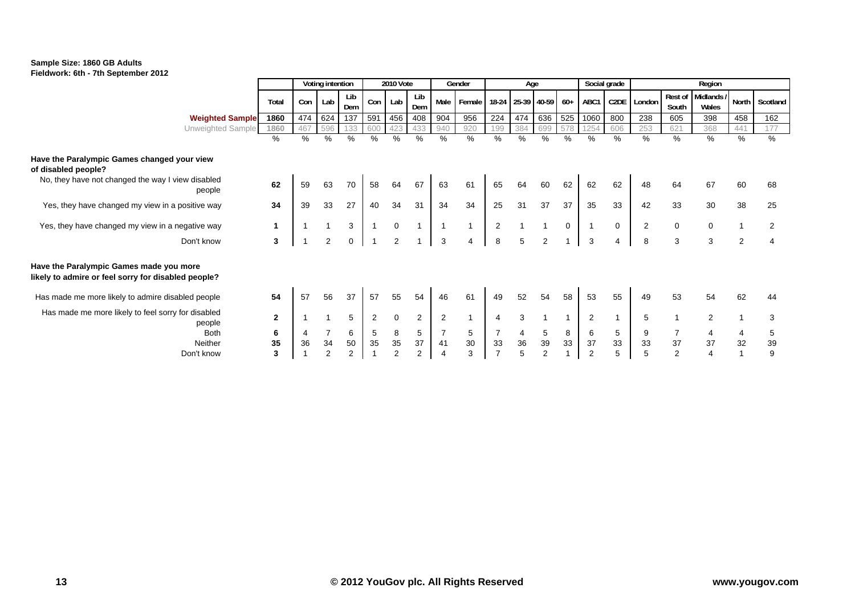

|                                                                                                |              | Voting intention |                |                | 2010 Vote      |             |                | Gender         |                | Age            |                   |     |              | Social grade |                   | Region         |                  |                     |                |          |
|------------------------------------------------------------------------------------------------|--------------|------------------|----------------|----------------|----------------|-------------|----------------|----------------|----------------|----------------|-------------------|-----|--------------|--------------|-------------------|----------------|------------------|---------------------|----------------|----------|
|                                                                                                | Total        | Con              | Lab            | Lib<br>Dem     | Con            | Lab         | Lib<br>Dem     | Male           | Female         |                | 18-24 25-39 40-59 |     | $60+$        | ABC1         | C <sub>2</sub> DE | London         | Rest of<br>South | Midlands /<br>Wales | North          | Scotland |
| <b>Weighted Sample</b>                                                                         | 1860         | 474              | 624            | 137            | 591            | 456         | 408            | 904            | 956            | 224            | 474               | 636 | 525          | 1060         | 800               | 238            | 605              | 398                 | 458            | 162      |
| Unweighted Sample                                                                              | 1860         | 467              | 596            | 133            | 600            | 423         | 433            | 940            | 920            | 199            | 384               | 699 | 578          | 1254         | 606               | 253            | 621              | 368                 | 441            | 177      |
|                                                                                                | %            | %                | %              | $\%$           | $\%$           | %           | %              | %              | %              | %              | %                 | %   | %            | %            | %                 | %              | %                | %                   | %              | %        |
| Have the Paralympic Games changed your view                                                    |              |                  |                |                |                |             |                |                |                |                |                   |     |              |              |                   |                |                  |                     |                |          |
| of disabled people?                                                                            |              |                  |                |                |                |             |                |                |                |                |                   |     |              |              |                   |                |                  |                     |                |          |
| No, they have not changed the way I view disabled<br>people                                    | 62           | 59               | 63             | 70             | 58             | 64          | 67             | 63             | 61             | 65             | 64                | 60  | 62           | 62           | 62                | 48             | 64               | 67                  | 60             | 68       |
| Yes, they have changed my view in a positive way                                               | 34           | 39               | 33             | 27             | 40             | 34          | 31             | 34             | 34             | 25             | 31                | 37  | 37           | 35           | 33                | 42             | 33               | 30                  | 38             | 25       |
| Yes, they have changed my view in a negative way                                               | 1            |                  |                | 3              |                | $\mathbf 0$ |                |                | $\overline{1}$ | $\overline{2}$ |                   |     | $\mathbf 0$  |              | $\mathbf{0}$      | $\overline{2}$ | 0                | $\mathbf 0$         | $\overline{1}$ | 2        |
| Don't know                                                                                     | 3            |                  | 2              | $\mathbf 0$    |                | 2           |                | 3              | 4              | 8              | 5                 | 2   |              | 3            | 4                 | 8              | 3                | 3                   | 2              | 4        |
| Have the Paralympic Games made you more<br>likely to admire or feel sorry for disabled people? |              |                  |                |                |                |             |                |                |                |                |                   |     |              |              |                   |                |                  |                     |                |          |
| Has made me more likely to admire disabled people                                              | 54           | 57               | 56             | 37             | 57             | 55          | 54             | 46             | 61             | 49             | 52                | 54  | 58           | 53           | 55                | 49             | 53               | 54                  | 62             | 44       |
| Has made me more likely to feel sorry for disabled<br>people                                   | $\mathbf{2}$ |                  |                | 5              | $\overline{2}$ | $\mathbf 0$ | $\overline{2}$ | $\overline{2}$ | $\mathbf{1}$   | 4              | 3                 |     | $\mathbf{1}$ | 2            | $\mathbf{1}$      | 5              |                  | $\overline{2}$      | $\overline{1}$ | 3        |
| <b>Both</b>                                                                                    | 6            | 4                | $\overline{7}$ | 6              | 5              | 8           | 5              | $\overline{7}$ | 5              | $\overline{7}$ | 4                 | 5   | 8            | 6            | 5                 | 9              | $\overline{7}$   | 4                   | 4              | 5        |
| Neither                                                                                        | 35           | 36               | 34             | 50             | 35             | 35          | 37             | 41             | 30             | 33             | 36                | 39  | 33           | 37           | 33                | 33             | 37               | 37                  | 32             | 39       |
| Don't know                                                                                     | 3            |                  | $\overline{2}$ | $\overline{2}$ |                | 2           | $\overline{2}$ | 4              | 3              | $\overline{7}$ | 5                 | 2   |              | 2            | 5                 | 5              | 2                | $\overline{4}$      |                | 9        |